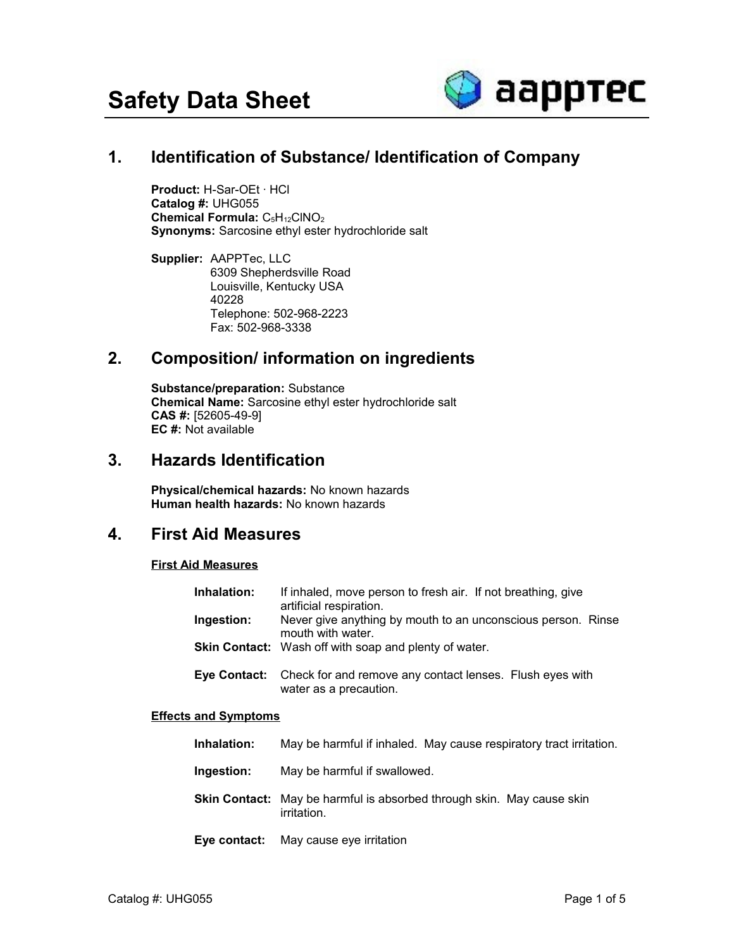

# **1. Identification of Substance/ Identification of Company**

**Product:** H-Sar-OEt · HCl **Catalog #:** UHG055 **Chemical Formula: C<sub>5</sub>H<sub>12</sub>ClNO<sub>2</sub> Synonyms:** Sarcosine ethyl ester hydrochloride salt

**Supplier:** AAPPTec, LLC 6309 Shepherdsville Road Louisville, Kentucky USA 40228 Telephone: 502-968-2223 Fax: 502-968-3338

## **2. Composition/ information on ingredients**

**Substance/preparation:** Substance **Chemical Name:** Sarcosine ethyl ester hydrochloride salt **CAS #:** [52605-49-9] **EC #:** Not available

### **3. Hazards Identification**

**Physical/chemical hazards:** No known hazards **Human health hazards:** No known hazards

## **4. First Aid Measures**

#### **First Aid Measures**

| Inhalation: | If inhaled, move person to fresh air. If not breathing, give<br>artificial respiration.         |
|-------------|-------------------------------------------------------------------------------------------------|
| Ingestion:  | Never give anything by mouth to an unconscious person. Rinse<br>mouth with water.               |
|             | Skin Contact: Wash off with soap and plenty of water.                                           |
|             | Eye Contact: Check for and remove any contact lenses. Flush eyes with<br>water as a precaution. |

#### **Effects and Symptoms**

- **Ingestion:** May be harmful if swallowed.
- **Skin Contact:** May be harmful is absorbed through skin. May cause skin irritation.
- **Eye contact:** May cause eye irritation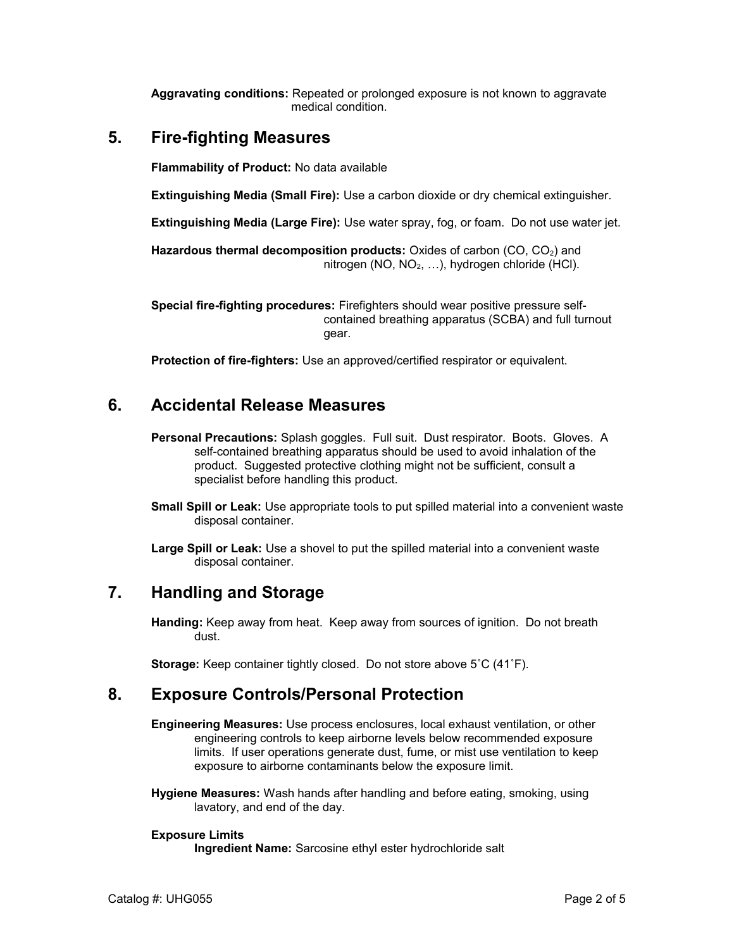**Aggravating conditions:** Repeated or prolonged exposure is not known to aggravate medical condition.

### **5. Fire-fighting Measures**

**Flammability of Product:** No data available

**Extinguishing Media (Small Fire):** Use a carbon dioxide or dry chemical extinguisher.

**Extinguishing Media (Large Fire):** Use water spray, fog, or foam. Do not use water jet.

Hazardous thermal decomposition products: Oxides of carbon (CO, CO<sub>2</sub>) and nitrogen (NO,  $NO<sub>2</sub>, ...$ ), hydrogen chloride (HCl).

**Special fire-fighting procedures:** Firefighters should wear positive pressure selfcontained breathing apparatus (SCBA) and full turnout gear.

**Protection of fire-fighters:** Use an approved/certified respirator or equivalent.

### **6. Accidental Release Measures**

- **Personal Precautions:** Splash goggles. Full suit. Dust respirator. Boots. Gloves. A self-contained breathing apparatus should be used to avoid inhalation of the product. Suggested protective clothing might not be sufficient, consult a specialist before handling this product.
- **Small Spill or Leak:** Use appropriate tools to put spilled material into a convenient waste disposal container.

**Large Spill or Leak:** Use a shovel to put the spilled material into a convenient waste disposal container.

#### **7. Handling and Storage**

**Handing:** Keep away from heat. Keep away from sources of ignition. Do not breath dust.

**Storage:** Keep container tightly closed. Do not store above 5˚C (41˚F).

#### **8. Exposure Controls/Personal Protection**

**Engineering Measures:** Use process enclosures, local exhaust ventilation, or other engineering controls to keep airborne levels below recommended exposure limits. If user operations generate dust, fume, or mist use ventilation to keep exposure to airborne contaminants below the exposure limit.

**Hygiene Measures:** Wash hands after handling and before eating, smoking, using lavatory, and end of the day.

#### **Exposure Limits**

**Ingredient Name:** Sarcosine ethyl ester hydrochloride salt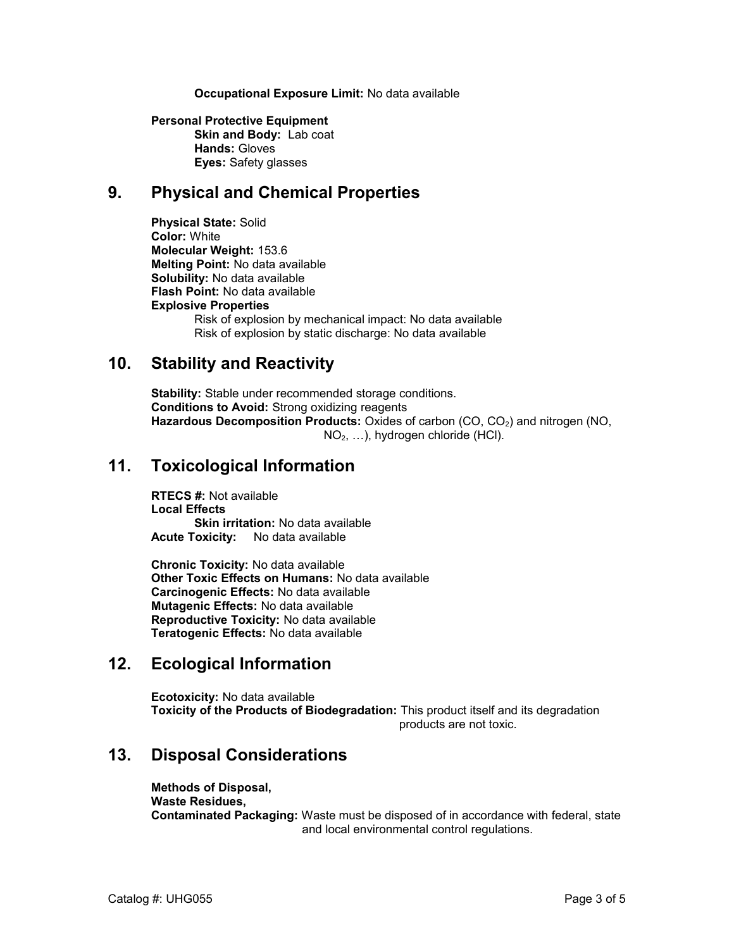#### **Occupational Exposure Limit:** No data available

#### **Personal Protective Equipment Skin and Body:** Lab coat **Hands:** Gloves **Eyes:** Safety glasses

## **9. Physical and Chemical Properties**

**Physical State:** Solid **Color:** White **Molecular Weight:** 153.6 **Melting Point:** No data available **Solubility:** No data available **Flash Point:** No data available **Explosive Properties** Risk of explosion by mechanical impact: No data available Risk of explosion by static discharge: No data available

#### **10. Stability and Reactivity**

**Stability:** Stable under recommended storage conditions. **Conditions to Avoid:** Strong oxidizing reagents Hazardous Decomposition Products: Oxides of carbon (CO, CO<sub>2</sub>) and nitrogen (NO, NO2, …), hydrogen chloride (HCl).

### **11. Toxicological Information**

**RTECS #:** Not available **Local Effects Skin irritation: No data available Acute Toxicity:** No data available

**Chronic Toxicity:** No data available **Other Toxic Effects on Humans:** No data available **Carcinogenic Effects:** No data available **Mutagenic Effects:** No data available **Reproductive Toxicity:** No data available **Teratogenic Effects:** No data available

# **12. Ecological Information**

**Ecotoxicity:** No data available **Toxicity of the Products of Biodegradation:** This product itself and its degradation products are not toxic.

## **13. Disposal Considerations**

**Methods of Disposal, Waste Residues, Contaminated Packaging:** Waste must be disposed of in accordance with federal, state and local environmental control regulations.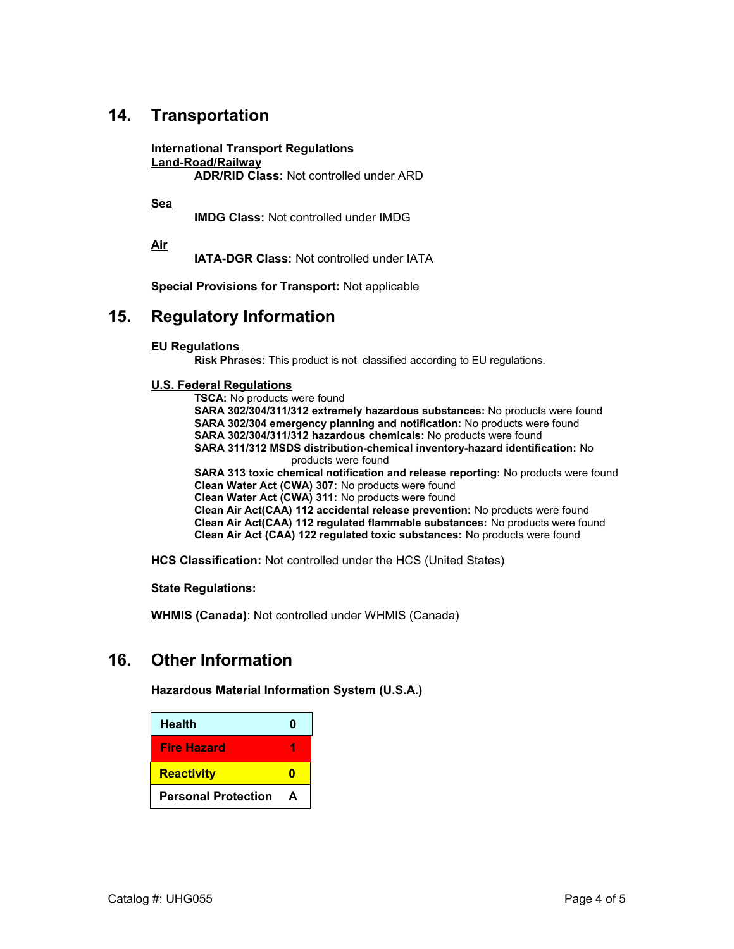# **14. Transportation**

**International Transport Regulations Land-Road/Railway ADR/RID Class:** Not controlled under ARD

**Sea**

**IMDG Class:** Not controlled under IMDG

**Air**

**IATA-DGR Class:** Not controlled under IATA

**Special Provisions for Transport:** Not applicable

#### **15. Regulatory Information**

#### **EU Regulations**

**Risk Phrases:** This product is not classified according to EU regulations.

#### **U.S. Federal Regulations**

**TSCA:** No products were found **SARA 302/304/311/312 extremely hazardous substances:** No products were found **SARA 302/304 emergency planning and notification:** No products were found **SARA 302/304/311/312 hazardous chemicals:** No products were found **SARA 311/312 MSDS distribution-chemical inventory-hazard identification:** No products were found **SARA 313 toxic chemical notification and release reporting:** No products were found **Clean Water Act (CWA) 307:** No products were found **Clean Water Act (CWA) 311:** No products were found **Clean Air Act(CAA) 112 accidental release prevention:** No products were found **Clean Air Act(CAA) 112 regulated flammable substances:** No products were found **Clean Air Act (CAA) 122 regulated toxic substances:** No products were found

**HCS Classification:** Not controlled under the HCS (United States)

**State Regulations:**

**WHMIS (Canada)**: Not controlled under WHMIS (Canada)

## **16. Other Information**

**Hazardous Material Information System (U.S.A.)**

| <b>Health</b>              | Π |
|----------------------------|---|
| <b>Fire Hazard</b>         |   |
| <b>Reactivity</b>          |   |
| <b>Personal Protection</b> | А |